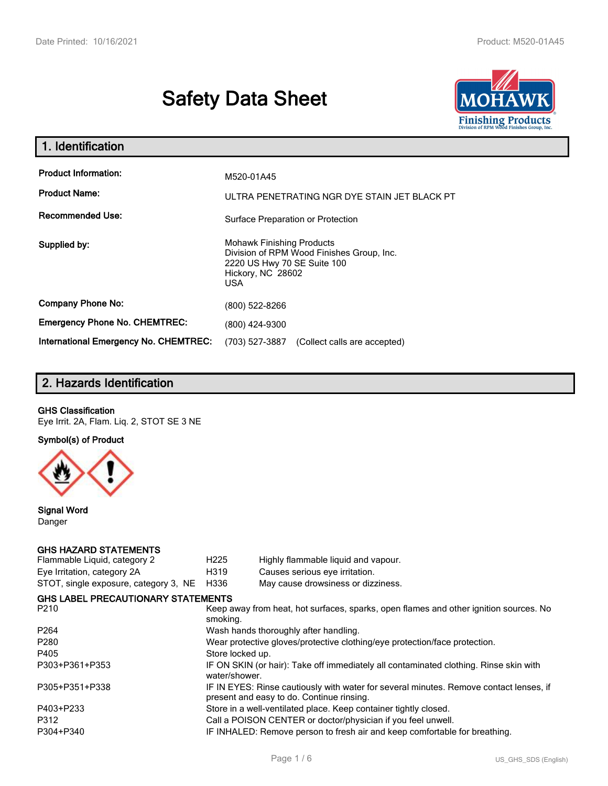# **Safety Data Sheet**



| 1. Identification                                   |                                                                                                                                                 |
|-----------------------------------------------------|-------------------------------------------------------------------------------------------------------------------------------------------------|
| <b>Product Information:</b><br><b>Product Name:</b> | M520-01A45<br>ULTRA PENETRATING NGR DYE STAIN JET BLACK PT                                                                                      |
| <b>Recommended Use:</b>                             | Surface Preparation or Protection                                                                                                               |
| Supplied by:                                        | <b>Mohawk Finishing Products</b><br>Division of RPM Wood Finishes Group, Inc.<br>2220 US Hwy 70 SE Suite 100<br>Hickory, NC 28602<br><b>USA</b> |
| <b>Company Phone No:</b>                            | (800) 522-8266                                                                                                                                  |
| <b>Emergency Phone No. CHEMTREC:</b>                | (800) 424-9300                                                                                                                                  |
| <b>International Emergency No. CHEMTREC:</b>        | (703) 527-3887<br>(Collect calls are accepted)                                                                                                  |

# **2. Hazards Identification**

#### **GHS Classification**

Eye Irrit. 2A, Flam. Liq. 2, STOT SE 3 NE

**Symbol(s) of Product**



**Signal Word** Danger

#### **GHS HAZARD STATEMENTS**

| H <sub>225</sub>                                                           | Highly flammable liquid and vapour.                                                                                                 |  |
|----------------------------------------------------------------------------|-------------------------------------------------------------------------------------------------------------------------------------|--|
| H319                                                                       | Causes serious eye irritation.                                                                                                      |  |
| H336                                                                       | May cause drowsiness or dizziness.                                                                                                  |  |
|                                                                            |                                                                                                                                     |  |
| smoking.                                                                   | Keep away from heat, hot surfaces, sparks, open flames and other ignition sources. No                                               |  |
|                                                                            | Wash hands thoroughly after handling.                                                                                               |  |
| Wear protective gloves/protective clothing/eye protection/face protection. |                                                                                                                                     |  |
| Store locked up.                                                           |                                                                                                                                     |  |
| water/shower.                                                              | IF ON SKIN (or hair): Take off immediately all contaminated clothing. Rinse skin with                                               |  |
|                                                                            | IF IN EYES: Rinse cautiously with water for several minutes. Remove contact lenses, if<br>present and easy to do. Continue rinsing. |  |
|                                                                            | Store in a well-ventilated place. Keep container tightly closed.                                                                    |  |
|                                                                            | Call a POISON CENTER or doctor/physician if you feel unwell.                                                                        |  |
|                                                                            | IF INHALED: Remove person to fresh air and keep comfortable for breathing.                                                          |  |
|                                                                            | <b>GHS LABEL PRECAUTIONARY STATEMENTS</b>                                                                                           |  |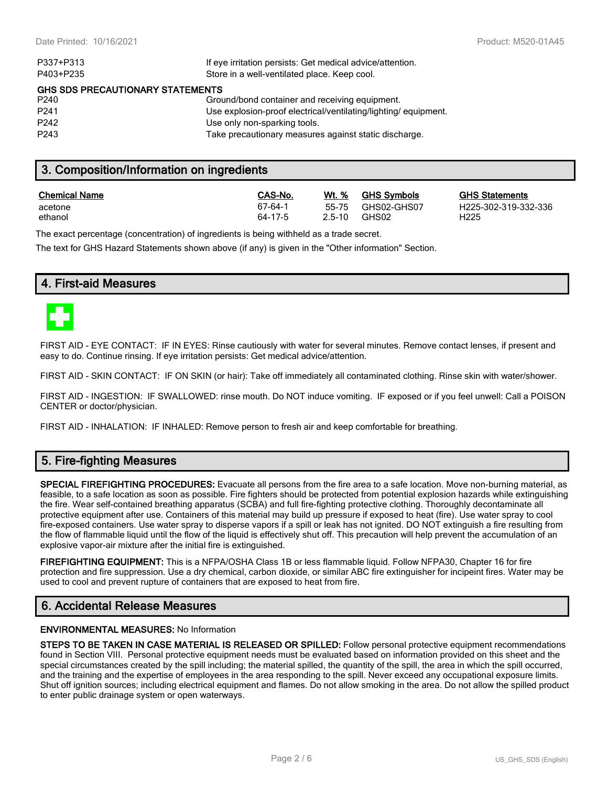| If eye irritation persists: Get medical advice/attention.      |
|----------------------------------------------------------------|
| Store in a well-ventilated place. Keep cool.                   |
| <b>GHS SDS PRECAUTIONARY STATEMENTS</b>                        |
| Ground/bond container and receiving equipment.                 |
| Use explosion-proof electrical/ventilating/lighting/equipment. |
| Use only non-sparking tools.                                   |
| Take precautionary measures against static discharge.          |
|                                                                |

# **3. Composition/Information on ingredients**

| <b>Chemical Name</b> | CAS-No. | Wt. %      | <b>GHS Symbols</b> | <b>GHS</b>       |
|----------------------|---------|------------|--------------------|------------------|
| acetone              | 67-64-1 | $2.5 - 10$ | 55-75 GHS02-GHS07  | H <sub>225</sub> |
| ethanol              | 64-17-5 |            | GHS02              | H225             |

**CHS Statements** H225-302-319-332-336

The exact percentage (concentration) of ingredients is being withheld as a trade secret.

The text for GHS Hazard Statements shown above (if any) is given in the "Other information" Section.

# **4. First-aid Measures**



FIRST AID - EYE CONTACT: IF IN EYES: Rinse cautiously with water for several minutes. Remove contact lenses, if present and easy to do. Continue rinsing. If eye irritation persists: Get medical advice/attention.

FIRST AID - SKIN CONTACT: IF ON SKIN (or hair): Take off immediately all contaminated clothing. Rinse skin with water/shower.

FIRST AID - INGESTION: IF SWALLOWED: rinse mouth. Do NOT induce vomiting. IF exposed or if you feel unwell: Call a POISON CENTER or doctor/physician.

FIRST AID - INHALATION: IF INHALED: Remove person to fresh air and keep comfortable for breathing.

# **5. Fire-fighting Measures**

**SPECIAL FIREFIGHTING PROCEDURES:** Evacuate all persons from the fire area to a safe location. Move non-burning material, as feasible, to a safe location as soon as possible. Fire fighters should be protected from potential explosion hazards while extinguishing the fire. Wear self-contained breathing apparatus (SCBA) and full fire-fighting protective clothing. Thoroughly decontaminate all protective equipment after use. Containers of this material may build up pressure if exposed to heat (fire). Use water spray to cool fire-exposed containers. Use water spray to disperse vapors if a spill or leak has not ignited. DO NOT extinguish a fire resulting from the flow of flammable liquid until the flow of the liquid is effectively shut off. This precaution will help prevent the accumulation of an explosive vapor-air mixture after the initial fire is extinguished.

**FIREFIGHTING EQUIPMENT:** This is a NFPA/OSHA Class 1B or less flammable liquid. Follow NFPA30, Chapter 16 for fire protection and fire suppression. Use a dry chemical, carbon dioxide, or similar ABC fire extinguisher for incipeint fires. Water may be used to cool and prevent rupture of containers that are exposed to heat from fire.

# **6. Accidental Release Measures**

#### **ENVIRONMENTAL MEASURES:** No Information

**STEPS TO BE TAKEN IN CASE MATERIAL IS RELEASED OR SPILLED:** Follow personal protective equipment recommendations found in Section VIII. Personal protective equipment needs must be evaluated based on information provided on this sheet and the special circumstances created by the spill including; the material spilled, the quantity of the spill, the area in which the spill occurred, and the training and the expertise of employees in the area responding to the spill. Never exceed any occupational exposure limits. Shut off ignition sources; including electrical equipment and flames. Do not allow smoking in the area. Do not allow the spilled product to enter public drainage system or open waterways.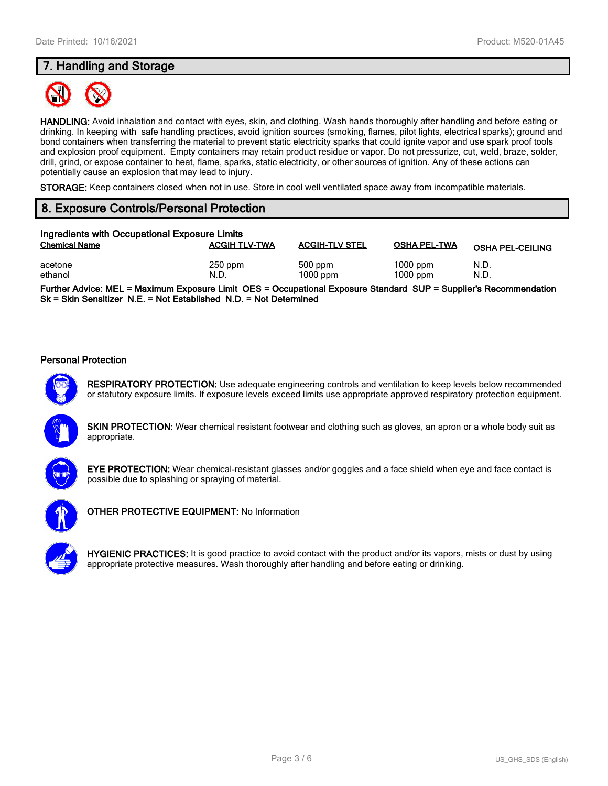# **7. Handling and Storage**



**HANDLING:** Avoid inhalation and contact with eyes, skin, and clothing. Wash hands thoroughly after handling and before eating or drinking. In keeping with safe handling practices, avoid ignition sources (smoking, flames, pilot lights, electrical sparks); ground and bond containers when transferring the material to prevent static electricity sparks that could ignite vapor and use spark proof tools and explosion proof equipment. Empty containers may retain product residue or vapor. Do not pressurize, cut, weld, braze, solder, drill, grind, or expose container to heat, flame, sparks, static electricity, or other sources of ignition. Any of these actions can potentially cause an explosion that may lead to injury.

**STORAGE:** Keep containers closed when not in use. Store in cool well ventilated space away from incompatible materials.

# **8. Exposure Controls/Personal Protection**

| Ingredients with Occupational Exposure Limits |                      |                         |                          |                         |
|-----------------------------------------------|----------------------|-------------------------|--------------------------|-------------------------|
| <b>Chemical Name</b>                          | <b>ACGIH TLV-TWA</b> | <b>ACGIH-TLV STEL</b>   | <b>OSHA PEL-TWA</b>      | <b>OSHA PEL-CEILING</b> |
| acetone<br>ethanol                            | $250$ ppm<br>N.D.    | $500$ ppm<br>$1000$ ppm | $1000$ ppm<br>$1000$ ppm | N.D.<br>N.D.            |

**Further Advice: MEL = Maximum Exposure Limit OES = Occupational Exposure Standard SUP = Supplier's Recommendation Sk = Skin Sensitizer N.E. = Not Established N.D. = Not Determined**

#### **Personal Protection**



**RESPIRATORY PROTECTION:** Use adequate engineering controls and ventilation to keep levels below recommended or statutory exposure limits. If exposure levels exceed limits use appropriate approved respiratory protection equipment.

**SKIN PROTECTION:** Wear chemical resistant footwear and clothing such as gloves, an apron or a whole body suit as appropriate.



**EYE PROTECTION:** Wear chemical-resistant glasses and/or goggles and a face shield when eye and face contact is possible due to splashing or spraying of material.



**OTHER PROTECTIVE EQUIPMENT:** No Information



**HYGIENIC PRACTICES:** It is good practice to avoid contact with the product and/or its vapors, mists or dust by using appropriate protective measures. Wash thoroughly after handling and before eating or drinking.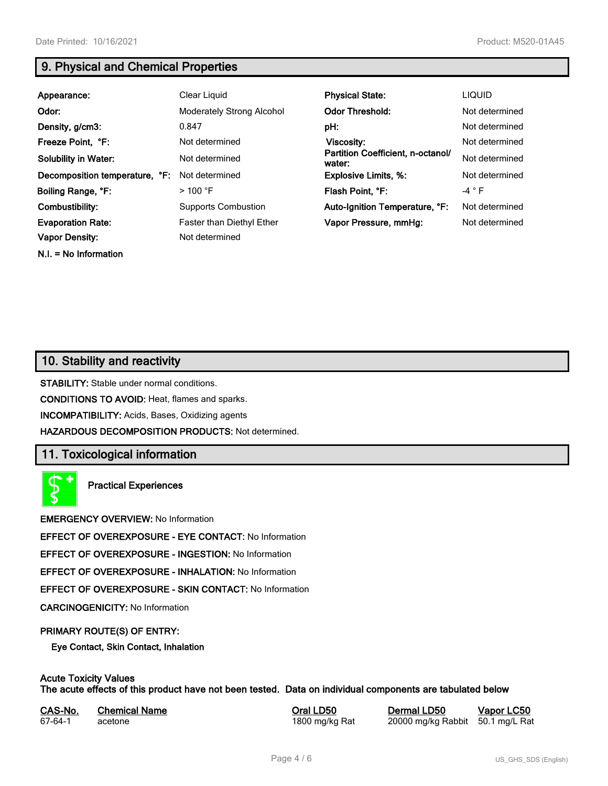**N.I. = No Information**

# **9. Physical and Chemical Properties**

| Appearance:                                       | Clear Liquid                                | <b>Physical State:</b>                      | <b>LIQUID</b>  |
|---------------------------------------------------|---------------------------------------------|---------------------------------------------|----------------|
| Odor:                                             | <b>Moderately Strong Alcohol</b>            | <b>Odor Threshold:</b>                      | Not determined |
| Density, g/cm3:                                   | 0.847                                       | pH:                                         | Not determined |
| Freeze Point, °F:                                 | Not determined                              | Viscosity:                                  | Not determined |
| <b>Solubility in Water:</b>                       | Not determined                              | Partition Coefficient, n-octanol/<br>water: | Not determined |
| Decomposition temperature, °F:                    | Not determined                              | <b>Explosive Limits, %:</b>                 | Not determined |
| Boiling Range, °F:                                | $>$ 100 °F                                  | Flash Point, °F:                            | $-4$ $\circ$ F |
| Combustibility:                                   | <b>Supports Combustion</b>                  | Auto-Ignition Temperature, °F:              | Not determined |
| <b>Evaporation Rate:</b><br><b>Vapor Density:</b> | Faster than Diethyl Ether<br>Not determined | Vapor Pressure, mmHg:                       | Not determined |
|                                                   |                                             |                                             |                |

# **10. Stability and reactivity**

**STABILITY:** Stable under normal conditions.

**CONDITIONS TO AVOID:** Heat, flames and sparks.

**INCOMPATIBILITY:** Acids, Bases, Oxidizing agents

**HAZARDOUS DECOMPOSITION PRODUCTS:** Not determined.

# **11. Toxicological information**

**Practical Experiences**

**EMERGENCY OVERVIEW:** No Information

**EFFECT OF OVEREXPOSURE - EYE CONTACT:** No Information

**EFFECT OF OVEREXPOSURE - INGESTION:** No Information

**EFFECT OF OVEREXPOSURE - INHALATION:** No Information

**EFFECT OF OVEREXPOSURE - SKIN CONTACT:** No Information

**CARCINOGENICITY:** No Information

#### **PRIMARY ROUTE(S) OF ENTRY:**

**Eye Contact, Skin Contact, Inhalation**

# **Acute Toxicity Values**

**The acute effects of this product have not been tested. Data on individual components are tabulated below**

| CAS-No. | <b>Chemical Name</b> |
|---------|----------------------|
| 67-64-1 | acetone              |

**Casary Chemical Chemical LD50 Chemical LD50 Vapor LC50** 1800 mg/kg Rat 20000 mg/kg Rabbit 50.1 mg/L Rat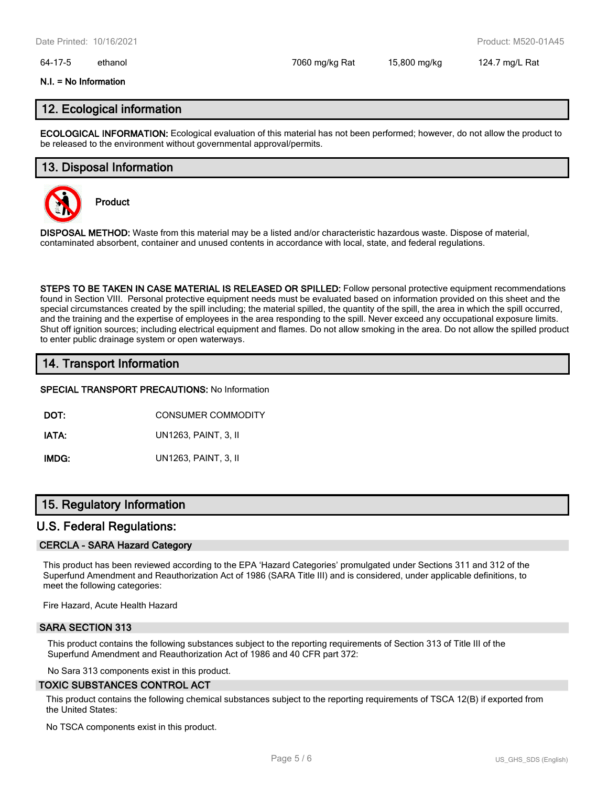#### 64-17-5 ethanol 7060 mg/kg Rat 15,800 mg/kg 124.7 mg/L Rat

#### **N.I. = No Information**

### **12. Ecological information**

**ECOLOGICAL INFORMATION:** Ecological evaluation of this material has not been performed; however, do not allow the product to be released to the environment without governmental approval/permits.

### **13. Disposal Information**



**Product**

**DISPOSAL METHOD:** Waste from this material may be a listed and/or characteristic hazardous waste. Dispose of material, contaminated absorbent, container and unused contents in accordance with local, state, and federal regulations.

**STEPS TO BE TAKEN IN CASE MATERIAL IS RELEASED OR SPILLED:** Follow personal protective equipment recommendations found in Section VIII. Personal protective equipment needs must be evaluated based on information provided on this sheet and the special circumstances created by the spill including; the material spilled, the quantity of the spill, the area in which the spill occurred, and the training and the expertise of employees in the area responding to the spill. Never exceed any occupational exposure limits. Shut off ignition sources; including electrical equipment and flames. Do not allow smoking in the area. Do not allow the spilled product to enter public drainage system or open waterways.

# **14. Transport Information**

#### **SPECIAL TRANSPORT PRECAUTIONS:** No Information

**DOT:** CONSUMER COMMODITY

**IATA:** UN1263, PAINT, 3, II

**IMDG:** UN1263, PAINT, 3, II

# **15. Regulatory Information**

#### **U.S. Federal Regulations:**

#### **CERCLA - SARA Hazard Category**

This product has been reviewed according to the EPA 'Hazard Categories' promulgated under Sections 311 and 312 of the Superfund Amendment and Reauthorization Act of 1986 (SARA Title III) and is considered, under applicable definitions, to meet the following categories:

Fire Hazard, Acute Health Hazard

#### **SARA SECTION 313**

This product contains the following substances subject to the reporting requirements of Section 313 of Title III of the Superfund Amendment and Reauthorization Act of 1986 and 40 CFR part 372:

No Sara 313 components exist in this product.

#### **TOXIC SUBSTANCES CONTROL ACT**

This product contains the following chemical substances subject to the reporting requirements of TSCA 12(B) if exported from the United States:

No TSCA components exist in this product.